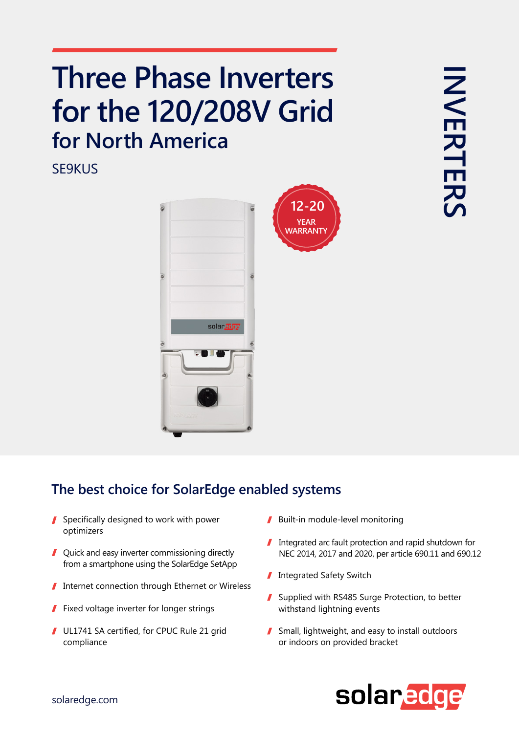## **Three Phase Inverters** for the 120/208V Grid **for North America**

SE9KUS



## The best choice for SolarEdge enabled systems

- $\blacksquare$  Specifically designed to work with power optimizers
- $\blacksquare$  Quick and easy inverter commissioning directly from a smartphone using the SolarEdge SetApp
- Internet connection through Ethernet or Wireless
- Fixed voltage inverter for longer strings 1
- UL1741 SA certified, for CPUC Rule 21 grid compliance
- $\blacksquare$  Built-in module-level monitoring
- $\blacksquare$  Integrated arc fault protection and rapid shutdown for NEC 2014, 2017 and 2020, per article 690.11 and 690.12
- Integrated Safety Switch
- Supplied with RS485 Surge Protection, to better withstand lightning events
- $\blacksquare$  Small, lightweight, and easy to install outdoors or indoors on provided bracket